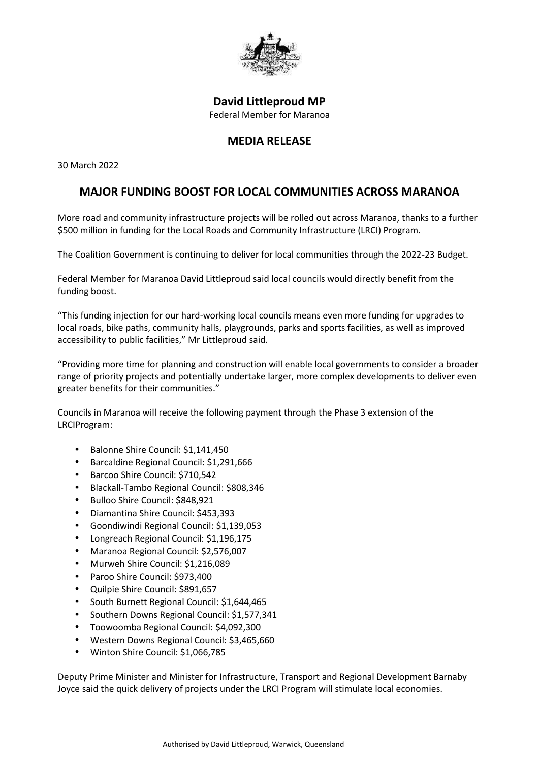

## **David Littleproud MP** Federal Member for Maranoa

## **MEDIA RELEASE**

30 March 2022

## **MAJOR FUNDING BOOST FOR LOCAL COMMUNITIES ACROSS MARANOA**

More road and community infrastructure projects will be rolled out across Maranoa, thanks to a further \$500 million in funding for the Local Roads and Community Infrastructure (LRCI) Program.

The Coalition Government is continuing to deliver for local communities through the 2022-23 Budget.

Federal Member for Maranoa David Littleproud said local councils would directly benefit from the funding boost.

"This funding injection for our hard-working local councils means even more funding for upgrades to local roads, bike paths, community halls, playgrounds, parks and sports facilities, as well as improved accessibility to public facilities," Mr Littleproud said.

"Providing more time for planning and construction will enable local governments to consider a broader range of priority projects and potentially undertake larger, more complex developments to deliver even greater benefits for their communities."

Councils in Maranoa will receive the following payment through the Phase 3 extension of the LRCIProgram:

 Balonne Shire Council: \$1,141,450 Barcaldine Regional Council: \$1,291,666 Barcoo Shire Council: \$710,542 Blackall-Tambo Regional Council: \$808,346 Bulloo Shire Council: \$848,921 Diamantina Shire Council: \$453,393 Goondiwindi Regional Council: \$1,139,053 Longreach Regional Council: \$1,196,175 Maranoa Regional Council: \$2,576,007 Murweh Shire Council: \$1,216,089 Paroo Shire Council: \$973,400 Quilpie Shire Council: \$891,657 South Burnett Regional Council: \$1,644,465 Southern Downs Regional Council: \$1,577,341 Toowoomba Regional Council: \$4,092,300 Western Downs Regional Council: \$3,465,660 Winton Shire Council: \$1,066,785

Deputy Prime Minister and Minister for Infrastructure, Transport and Regional Development Barnaby Joyce said the quick delivery of projects under the LRCI Program will stimulate local economies.